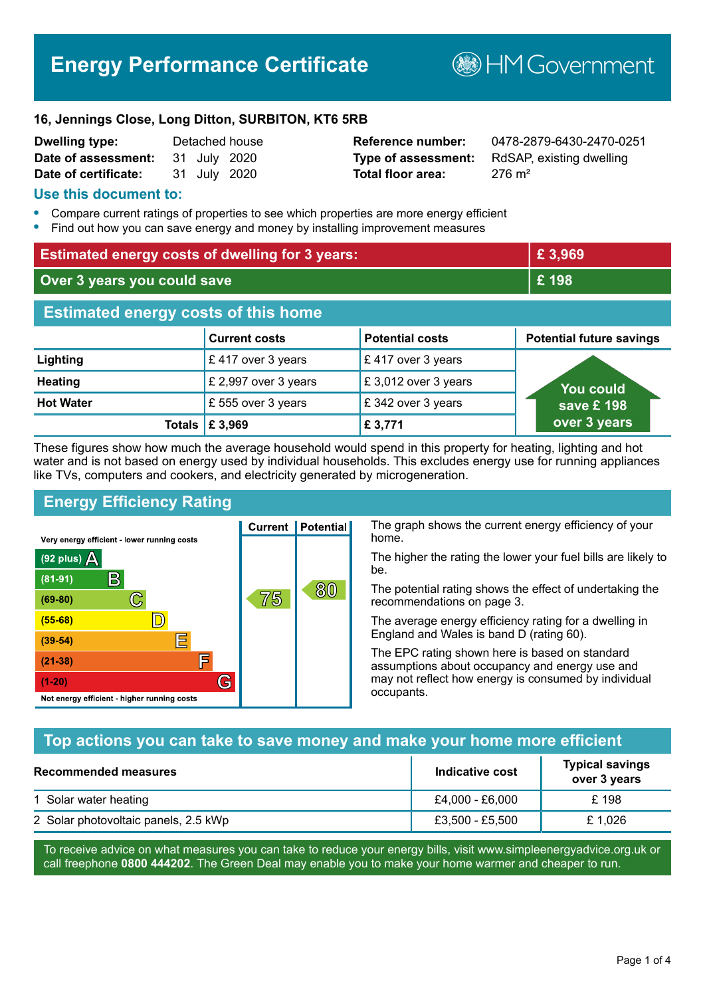# **Energy Performance Certificate**

**B**HMGovernment

#### **16, Jennings Close, Long Ditton, SURBITON, KT6 5RB**

| <b>Dwelling type:</b> |              | Detached house |
|-----------------------|--------------|----------------|
| Date of assessment:   | 31 July 2020 |                |
| Date of certificate:  | 31 July 2020 |                |

# **Total floor area:** 276 m<sup>2</sup>

**Dwelling type:** Detached house **Reference number:** 0478-2879-6430-2470-0251 **Type of assessment:** RdSAP, existing dwelling

### **Use this document to:**

- **•** Compare current ratings of properties to see which properties are more energy efficient
- **•** Find out how you can save energy and money by installing improvement measures

| <b>Estimated energy costs of dwelling for 3 years:</b> |                           | £3,969                 |                                 |
|--------------------------------------------------------|---------------------------|------------------------|---------------------------------|
| Over 3 years you could save                            |                           | £198                   |                                 |
| <b>Estimated energy costs of this home</b>             |                           |                        |                                 |
|                                                        | <b>Current costs</b>      | <b>Potential costs</b> | <b>Potential future savings</b> |
| Lighting                                               | £417 over 3 years         | £417 over 3 years      |                                 |
| <b>Heating</b>                                         | £ 2,997 over 3 years      | £3,012 over 3 years    | You could                       |
| <b>Hot Water</b>                                       | £ 555 over 3 years        | £342 over 3 years      | save £ 198                      |
|                                                        | Totals $\mathsf{E}$ 3,969 | £3,771                 | over 3 years                    |

These figures show how much the average household would spend in this property for heating, lighting and hot water and is not based on energy used by individual households. This excludes energy use for running appliances like TVs, computers and cookers, and electricity generated by microgeneration.

**Current | Potential** 

75

# **Energy Efficiency Rating**

 $\mathbb{C}$ 

 $\mathbb{D}$ 

E

庐

G

Very energy efficient - lower running costs

R

Not energy efficient - higher running costs

(92 plus)  $\Delta$ 

 $(81 - 91)$ 

 $(69 - 80)$ 

 $(55-68)$  $(39-54)$ 

 $(21-38)$ 

 $(1-20)$ 

The graph shows the current energy efficiency of your home.

The higher the rating the lower your fuel bills are likely to be.

The potential rating shows the effect of undertaking the recommendations on page 3.

The average energy efficiency rating for a dwelling in England and Wales is band D (rating 60).

The EPC rating shown here is based on standard assumptions about occupancy and energy use and may not reflect how energy is consumed by individual occupants.

# **Top actions you can take to save money and make your home more efficient**

80

| Recommended measures                 | Indicative cost | <b>Typical savings</b><br>over 3 years |
|--------------------------------------|-----------------|----------------------------------------|
| 1 Solar water heating                | £4.000 - £6.000 | £198                                   |
| 2 Solar photovoltaic panels, 2.5 kWp | £3,500 - £5,500 | £1.026                                 |

To receive advice on what measures you can take to reduce your energy bills, visit www.simpleenergyadvice.org.uk or call freephone **0800 444202**. The Green Deal may enable you to make your home warmer and cheaper to run.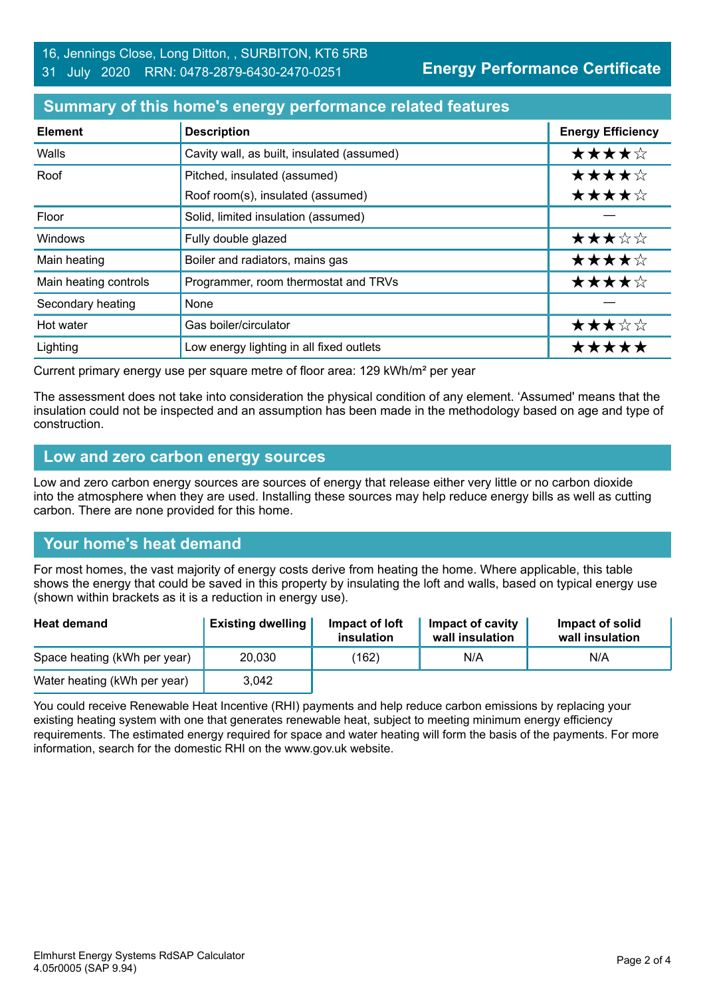### **Summary of this home's energy performance related features**

| <b>Element</b>        | <b>Description</b>                         | <b>Energy Efficiency</b> |
|-----------------------|--------------------------------------------|--------------------------|
| Walls                 | Cavity wall, as built, insulated (assumed) | ★★★★☆                    |
| Roof                  | Pitched, insulated (assumed)               | ★★★★☆                    |
|                       | Roof room(s), insulated (assumed)          | ★★★★☆                    |
| Floor                 | Solid, limited insulation (assumed)        |                          |
| <b>Windows</b>        | Fully double glazed                        | ★★★☆☆                    |
| Main heating          | Boiler and radiators, mains gas            | ★★★★☆                    |
| Main heating controls | Programmer, room thermostat and TRVs       | ★★★★☆                    |
| Secondary heating     | None                                       |                          |
| Hot water             | Gas boiler/circulator                      | ★★★☆☆                    |
| Lighting              | Low energy lighting in all fixed outlets   | *****                    |

Current primary energy use per square metre of floor area: 129 kWh/m² per year

The assessment does not take into consideration the physical condition of any element. 'Assumed' means that the insulation could not be inspected and an assumption has been made in the methodology based on age and type of construction.

#### **Low and zero carbon energy sources**

Low and zero carbon energy sources are sources of energy that release either very little or no carbon dioxide into the atmosphere when they are used. Installing these sources may help reduce energy bills as well as cutting carbon. There are none provided for this home.

# **Your home's heat demand**

For most homes, the vast majority of energy costs derive from heating the home. Where applicable, this table shows the energy that could be saved in this property by insulating the loft and walls, based on typical energy use (shown within brackets as it is a reduction in energy use).

| <b>Heat demand</b>           | <b>Existing dwelling</b> | Impact of loft<br>insulation | Impact of cavity<br>wall insulation | Impact of solid<br>wall insulation |
|------------------------------|--------------------------|------------------------------|-------------------------------------|------------------------------------|
| Space heating (kWh per year) | 20,030                   | (162)                        | N/A                                 | N/A                                |
| Water heating (kWh per year) | 3,042                    |                              |                                     |                                    |

You could receive Renewable Heat Incentive (RHI) payments and help reduce carbon emissions by replacing your existing heating system with one that generates renewable heat, subject to meeting minimum energy efficiency requirements. The estimated energy required for space and water heating will form the basis of the payments. For more information, search for the domestic RHI on the www.gov.uk website.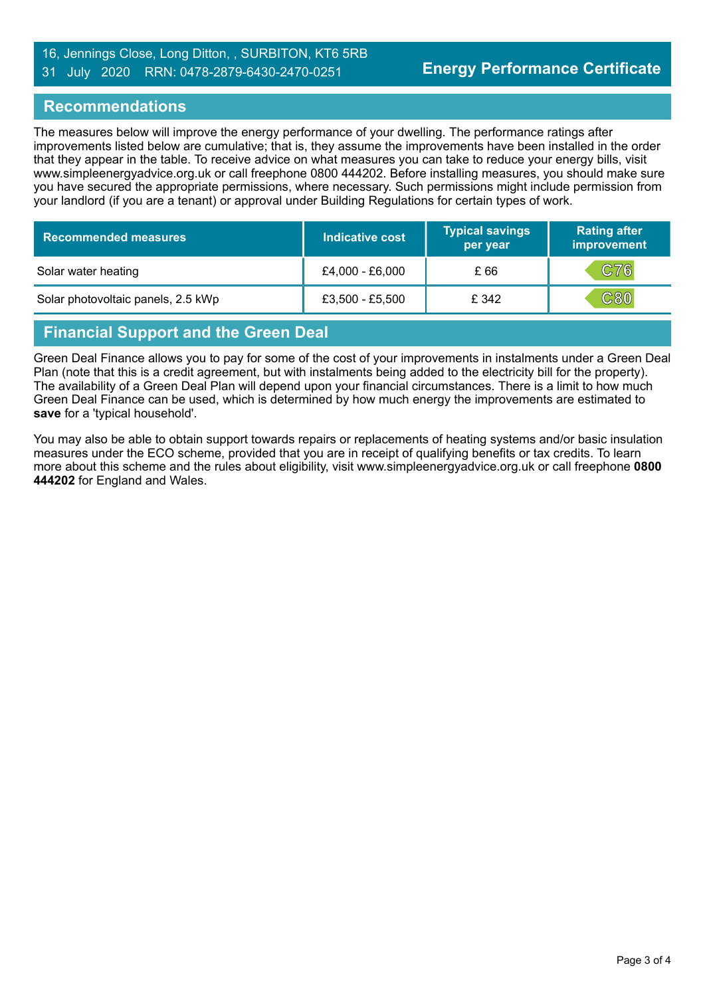#### 16, Jennings Close, Long Ditton, , SURBITON, KT6 5RB 31 July 2020 RRN: 0478-2879-6430-2470-0251

#### **Recommendations**

The measures below will improve the energy performance of your dwelling. The performance ratings after improvements listed below are cumulative; that is, they assume the improvements have been installed in the order that they appear in the table. To receive advice on what measures you can take to reduce your energy bills, visit www.simpleenergyadvice.org.uk or call freephone 0800 444202. Before installing measures, you should make sure you have secured the appropriate permissions, where necessary. Such permissions might include permission from your landlord (if you are a tenant) or approval under Building Regulations for certain types of work.

| <b>Recommended measures</b>        | Indicative cost | <b>Typical savings</b><br>per year | <b>Rating after</b><br>improvement |
|------------------------------------|-----------------|------------------------------------|------------------------------------|
| Solar water heating                | £4,000 - £6,000 | £ 66                               | C76                                |
| Solar photovoltaic panels, 2.5 kWp | £3,500 - £5,500 | £ 342                              | $\mathbf{C80}$                     |

# **Financial Support and the Green Deal**

Green Deal Finance allows you to pay for some of the cost of your improvements in instalments under a Green Deal Plan (note that this is a credit agreement, but with instalments being added to the electricity bill for the property). The availability of a Green Deal Plan will depend upon your financial circumstances. There is a limit to how much Green Deal Finance can be used, which is determined by how much energy the improvements are estimated to **save** for a 'typical household'.

You may also be able to obtain support towards repairs or replacements of heating systems and/or basic insulation measures under the ECO scheme, provided that you are in receipt of qualifying benefits or tax credits. To learn more about this scheme and the rules about eligibility, visit www.simpleenergyadvice.org.uk or call freephone **0800 444202** for England and Wales.